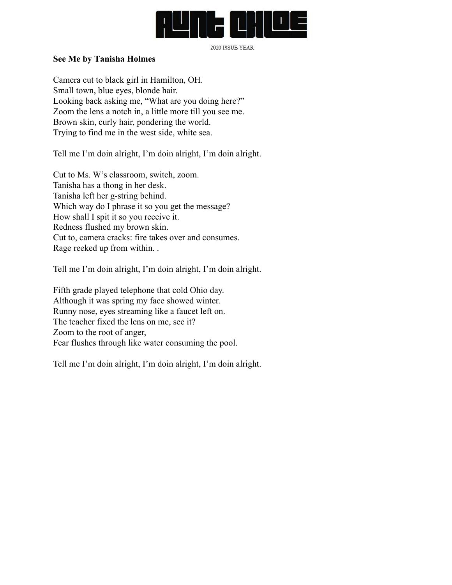

2020 ISSUE YEAR

## **See Me by Tanisha Holmes**

Camera cut to black girl in Hamilton, OH. Small town, blue eyes, blonde hair. Looking back asking me, "What are you doing here?" Zoom the lens a notch in, a little more till you see me. Brown skin, curly hair, pondering the world. Trying to find me in the west side, white sea.

Tell me I'm doin alright, I'm doin alright, I'm doin alright.

Cut to Ms. W's classroom, switch, zoom. Tanisha has a thong in her desk. Tanisha left her g-string behind. Which way do I phrase it so you get the message? How shall I spit it so you receive it. Redness flushed my brown skin. Cut to, camera cracks: fire takes over and consumes. Rage reeked up from within. .

Tell me I'm doin alright, I'm doin alright, I'm doin alright.

Fifth grade played telephone that cold Ohio day. Although it was spring my face showed winter. Runny nose, eyes streaming like a faucet left on. The teacher fixed the lens on me, see it? Zoom to the root of anger, Fear flushes through like water consuming the pool.

Tell me I'm doin alright, I'm doin alright, I'm doin alright.